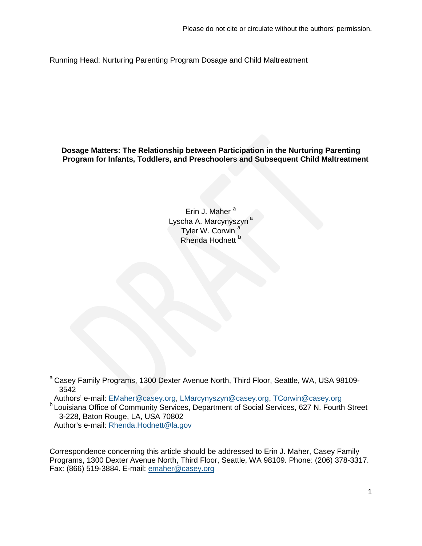Running Head: Nurturing Parenting Program Dosage and Child Maltreatment

**Dosage Matters: The Relationship between Participation in the Nurturing Parenting Program for Infants, Toddlers, and Preschoolers and Subsequent Child Maltreatment**

> Erin J. Maher<sup>a</sup> Lyscha A. Marcynyszyn<sup>a</sup> Tyler W. Corwin<sup>a</sup> Rhenda Hodnett<sup>b</sup>

<sup>a</sup> Casey Family Programs, 1300 Dexter Avenue North, Third Floor, Seattle, WA, USA 98109-3542<br>Authors' e-mail: EMaher@casey.org, LMarcynyszyn@casey.org, TCorwin@casey.org

**b** Louisiana Office of Community Services, Department of Social Services, 627 N. Fourth Street 3-228, Baton Rouge, LA, USA 70802 Author's e-mail: [Rhenda.Hodnett@la.gov](mailto:Rhenda.Hodnett@la.gov)

Correspondence concerning this article should be addressed to Erin J. Maher, Casey Family Programs, 1300 Dexter Avenue North, Third Floor, Seattle, WA 98109. Phone: (206) 378-3317. Fax: (866) 519-3884. E-mail: [emaher@casey.org](mailto:emaher@casey.org)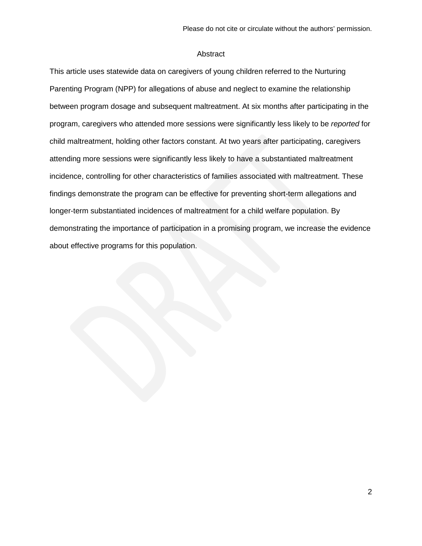#### Abstract

This article uses statewide data on caregivers of young children referred to the Nurturing Parenting Program (NPP) for allegations of abuse and neglect to examine the relationship between program dosage and subsequent maltreatment. At six months after participating in the program, caregivers who attended more sessions were significantly less likely to be *reported* for child maltreatment, holding other factors constant. At two years after participating, caregivers attending more sessions were significantly less likely to have a substantiated maltreatment incidence, controlling for other characteristics of families associated with maltreatment. These findings demonstrate the program can be effective for preventing short-term allegations and longer-term substantiated incidences of maltreatment for a child welfare population. By demonstrating the importance of participation in a promising program, we increase the evidence about effective programs for this population.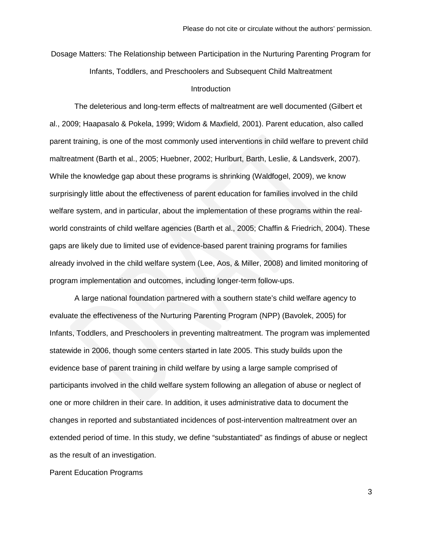Dosage Matters: The Relationship between Participation in the Nurturing Parenting Program for Infants, Toddlers, and Preschoolers and Subsequent Child Maltreatment

## **Introduction**

The deleterious and long-term effects of maltreatment are well documented (Gilbert et al., 2009; Haapasalo & Pokela, 1999; Widom & Maxfield, 2001). Parent education, also called parent training, is one of the most commonly used interventions in child welfare to prevent child maltreatment (Barth et al., 2005; Huebner, 2002; Hurlburt, Barth, Leslie, & Landsverk, 2007). While the knowledge gap about these programs is shrinking (Waldfogel, 2009), we know surprisingly little about the effectiveness of parent education for families involved in the child welfare system, and in particular, about the implementation of these programs within the realworld constraints of child welfare agencies (Barth et al., 2005; Chaffin & Friedrich, 2004). These gaps are likely due to limited use of evidence-based parent training programs for families already involved in the child welfare system (Lee, Aos, & Miller, 2008) and limited monitoring of program implementation and outcomes, including longer-term follow-ups.

A large national foundation partnered with a southern state's child welfare agency to evaluate the effectiveness of the Nurturing Parenting Program (NPP) (Bavolek, 2005) for Infants, Toddlers, and Preschoolers in preventing maltreatment. The program was implemented statewide in 2006, though some centers started in late 2005. This study builds upon the evidence base of parent training in child welfare by using a large sample comprised of participants involved in the child welfare system following an allegation of abuse or neglect of one or more children in their care. In addition, it uses administrative data to document the changes in reported and substantiated incidences of post-intervention maltreatment over an extended period of time. In this study, we define "substantiated" as findings of abuse or neglect as the result of an investigation.

Parent Education Programs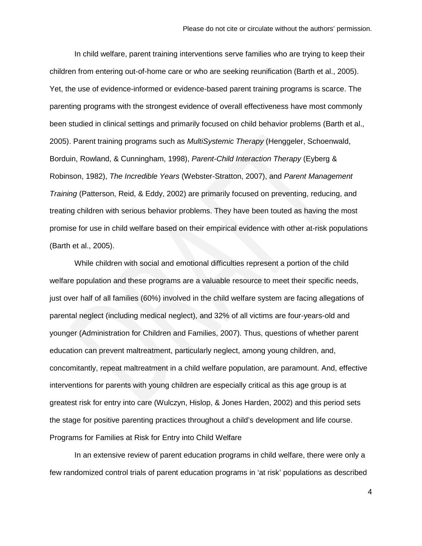In child welfare, parent training interventions serve families who are trying to keep their children from entering out-of-home care or who are seeking reunification (Barth et al., 2005). Yet, the use of evidence-informed or evidence-based parent training programs is scarce. The parenting programs with the strongest evidence of overall effectiveness have most commonly been studied in clinical settings and primarily focused on child behavior problems (Barth et al., 2005). Parent training programs such as *MultiSystemic Therapy* (Henggeler, Schoenwald, Borduin, Rowland, & Cunningham, 1998), *Parent-Child Interaction Therapy* (Eyberg & Robinson, 1982), *The Incredible Years* (Webster-Stratton, 2007), and *Parent Management Training* (Patterson, Reid, & Eddy, 2002) are primarily focused on preventing, reducing, and treating children with serious behavior problems. They have been touted as having the most promise for use in child welfare based on their empirical evidence with other at-risk populations (Barth et al., 2005).

While children with social and emotional difficulties represent a portion of the child welfare population and these programs are a valuable resource to meet their specific needs, just over half of all families (60%) involved in the child welfare system are facing allegations of parental neglect (including medical neglect), and 32% of all victims are four-years-old and younger (Administration for Children and Families, 2007). Thus, questions of whether parent education can prevent maltreatment, particularly neglect, among young children, and, concomitantly, repeat maltreatment in a child welfare population, are paramount. And, effective interventions for parents with young children are especially critical as this age group is at greatest risk for entry into care (Wulczyn, Hislop, & Jones Harden, 2002) and this period sets the stage for positive parenting practices throughout a child's development and life course. Programs for Families at Risk for Entry into Child Welfare

In an extensive review of parent education programs in child welfare, there were only a few randomized control trials of parent education programs in 'at risk' populations as described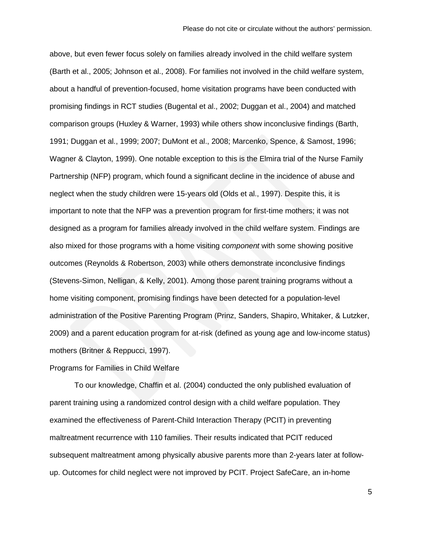above, but even fewer focus solely on families already involved in the child welfare system (Barth et al., 2005; Johnson et al., 2008). For families not involved in the child welfare system, about a handful of prevention-focused, home visitation programs have been conducted with promising findings in RCT studies (Bugental et al., 2002; Duggan et al., 2004) and matched comparison groups (Huxley & Warner, 1993) while others show inconclusive findings (Barth, 1991; Duggan et al., 1999; 2007; DuMont et al., 2008; Marcenko, Spence, & Samost, 1996; Wagner & Clayton, 1999). One notable exception to this is the Elmira trial of the Nurse Family Partnership (NFP) program, which found a significant decline in the incidence of abuse and neglect when the study children were 15-years old (Olds et al., 1997). Despite this, it is important to note that the NFP was a prevention program for first-time mothers; it was not designed as a program for families already involved in the child welfare system. Findings are also mixed for those programs with a home visiting *component* with some showing positive outcomes (Reynolds & Robertson, 2003) while others demonstrate inconclusive findings (Stevens-Simon, Nelligan, & Kelly, 2001). Among those parent training programs without a home visiting component, promising findings have been detected for a population-level administration of the Positive Parenting Program (Prinz, Sanders, Shapiro, Whitaker, & Lutzker, 2009) and a parent education program for at-risk (defined as young age and low-income status) mothers (Britner & Reppucci, 1997).

## Programs for Families in Child Welfare

To our knowledge, Chaffin et al. (2004) conducted the only published evaluation of parent training using a randomized control design with a child welfare population. They examined the effectiveness of Parent-Child Interaction Therapy (PCIT) in preventing maltreatment recurrence with 110 families. Their results indicated that PCIT reduced subsequent maltreatment among physically abusive parents more than 2-years later at followup. Outcomes for child neglect were not improved by PCIT. Project SafeCare, an in-home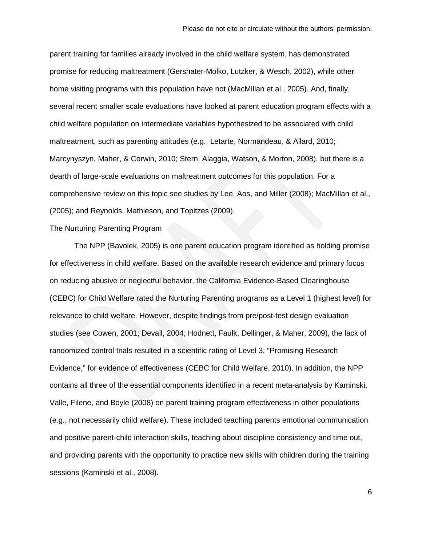parent training for families already involved in the child welfare system, has demonstrated promise for reducing maltreatment (Gershater-Molko, Lutzker, & Wesch, 2002), while other home visiting programs with this population have not (MacMillan et al., 2005). And, finally, several recent smaller scale evaluations have looked at parent education program effects with a child welfare population on intermediate variables hypothesized to be associated with child maltreatment, such as parenting attitudes (e.g., Letarte, Normandeau, & Allard, 2010; Marcynyszyn, Maher, & Corwin, 2010; Stern, Alaggia, Watson, & Morton, 2008), but there is a dearth of large-scale evaluations on maltreatment outcomes for this population. For a comprehensive review on this topic see studies by Lee, Aos, and Miller (2008); MacMillan et al., (2005); and Reynolds, Mathieson, and Topitzes (2009).

## The Nurturing Parenting Program

The NPP (Bavolek, 2005) is one parent education program identified as holding promise for effectiveness in child welfare. Based on the available research evidence and primary focus on reducing abusive or neglectful behavior, the California Evidence-Based Clearinghouse (CEBC) for Child Welfare rated the Nurturing Parenting programs as a Level 1 (highest level) for relevance to child welfare. However, despite findings from pre/post-test design evaluation studies (see Cowen, 2001; Devall, 2004; Hodnett, Faulk, Dellinger, & Maher, 2009), the lack of randomized control trials resulted in a scientific rating of Level 3, "Promising Research Evidence," for evidence of effectiveness (CEBC for Child Welfare, 2010). In addition, the NPP contains all three of the essential components identified in a recent meta-analysis by Kaminski, Valle, Filene, and Boyle (2008) on parent training program effectiveness in other populations (e.g., not necessarily child welfare). These included teaching parents emotional communication and positive parent-child interaction skills, teaching about discipline consistency and time out, and providing parents with the opportunity to practice new skills with children during the training sessions (Kaminski et al., 2008).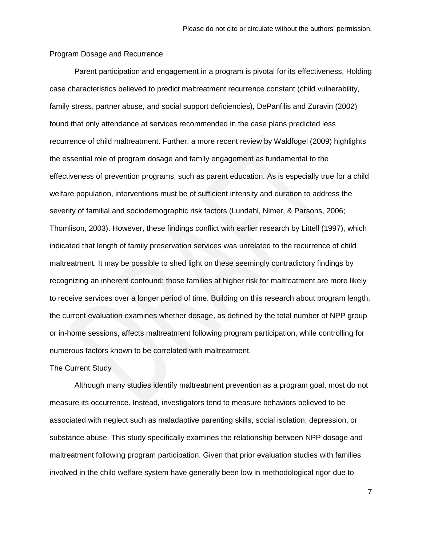## Program Dosage and Recurrence

Parent participation and engagement in a program is pivotal for its effectiveness. Holding case characteristics believed to predict maltreatment recurrence constant (child vulnerability, family stress, partner abuse, and social support deficiencies), DePanfilis and Zuravin (2002) found that only attendance at services recommended in the case plans predicted less recurrence of child maltreatment. Further, a more recent review by Waldfogel (2009) highlights the essential role of program dosage and family engagement as fundamental to the effectiveness of prevention programs, such as parent education. As is especially true for a child welfare population, interventions must be of sufficient intensity and duration to address the severity of familial and sociodemographic risk factors (Lundahl, Nimer, & Parsons, 2006; Thomlison, 2003). However, these findings conflict with earlier research by Littell (1997), which indicated that length of family preservation services was unrelated to the recurrence of child maltreatment. It may be possible to shed light on these seemingly contradictory findings by recognizing an inherent confound: those families at higher risk for maltreatment are more likely to receive services over a longer period of time. Building on this research about program length, the current evaluation examines whether dosage, as defined by the total number of NPP group or in-home sessions, affects maltreatment following program participation, while controlling for numerous factors known to be correlated with maltreatment.

## The Current Study

Although many studies identify maltreatment prevention as a program goal, most do not measure its occurrence. Instead, investigators tend to measure behaviors believed to be associated with neglect such as maladaptive parenting skills, social isolation, depression, or substance abuse. This study specifically examines the relationship between NPP dosage and maltreatment following program participation. Given that prior evaluation studies with families involved in the child welfare system have generally been low in methodological rigor due to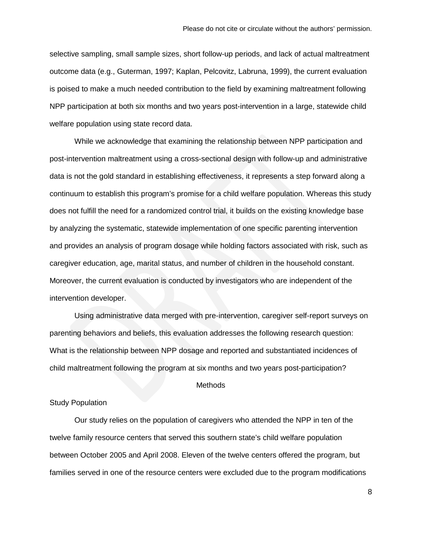selective sampling, small sample sizes, short follow-up periods, and lack of actual maltreatment outcome data (e.g., Guterman, 1997; Kaplan, Pelcovitz, Labruna, 1999), the current evaluation is poised to make a much needed contribution to the field by examining maltreatment following NPP participation at both six months and two years post-intervention in a large, statewide child welfare population using state record data.

While we acknowledge that examining the relationship between NPP participation and post-intervention maltreatment using a cross-sectional design with follow-up and administrative data is not the gold standard in establishing effectiveness, it represents a step forward along a continuum to establish this program's promise for a child welfare population. Whereas this study does not fulfill the need for a randomized control trial, it builds on the existing knowledge base by analyzing the systematic, statewide implementation of one specific parenting intervention and provides an analysis of program dosage while holding factors associated with risk, such as caregiver education, age, marital status, and number of children in the household constant. Moreover, the current evaluation is conducted by investigators who are independent of the intervention developer.

Using administrative data merged with pre-intervention, caregiver self-report surveys on parenting behaviors and beliefs, this evaluation addresses the following research question: What is the relationship between NPP dosage and reported and substantiated incidences of child maltreatment following the program at six months and two years post-participation?

#### **Methods**

## Study Population

Our study relies on the population of caregivers who attended the NPP in ten of the twelve family resource centers that served this southern state's child welfare population between October 2005 and April 2008. Eleven of the twelve centers offered the program, but families served in one of the resource centers were excluded due to the program modifications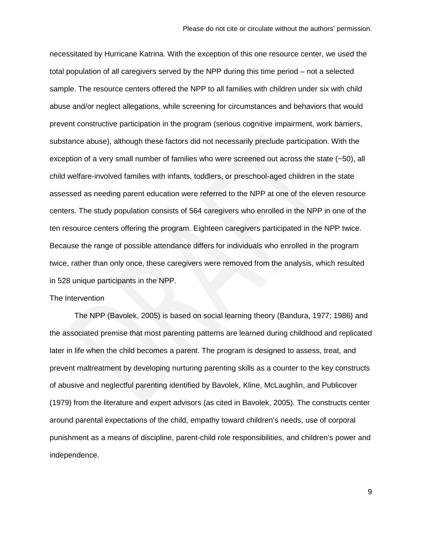necessitated by Hurricane Katrina. With the exception of this one resource center, we used the total population of all caregivers served by the NPP during this time period – not a selected sample. The resource centers offered the NPP to all families with children under six with child abuse and/or neglect allegations, while screening for circumstances and behaviors that would prevent constructive participation in the program (serious cognitive impairment, work barriers, substance abuse), although these factors did not necessarily preclude participation. With the exception of a very small number of families who were screened out across the state (~50), all child welfare-involved families with infants, toddlers, or preschool-aged children in the state assessed as needing parent education were referred to the NPP at one of the eleven resource centers. The study population consists of 564 caregivers who enrolled in the NPP in one of the ten resource centers offering the program. Eighteen caregivers participated in the NPP twice. Because the range of possible attendance differs for individuals who enrolled in the program twice, rather than only once, these caregivers were removed from the analysis, which resulted in 528 unique participants in the NPP.

### The Intervention

The NPP (Bavolek, 2005) is based on social learning theory (Bandura, 1977; 1986) and the associated premise that most parenting patterns are learned during childhood and replicated later in life when the child becomes a parent. The program is designed to assess, treat, and prevent maltreatment by developing nurturing parenting skills as a counter to the key constructs of abusive and neglectful parenting identified by Bavolek, Kline, McLaughlin, and Publicover (1979) from the literature and expert advisors (as cited in Bavolek, 2005). The constructs center around parental expectations of the child, empathy toward children's needs, use of corporal punishment as a means of discipline, parent-child role responsibilities, and children's power and independence.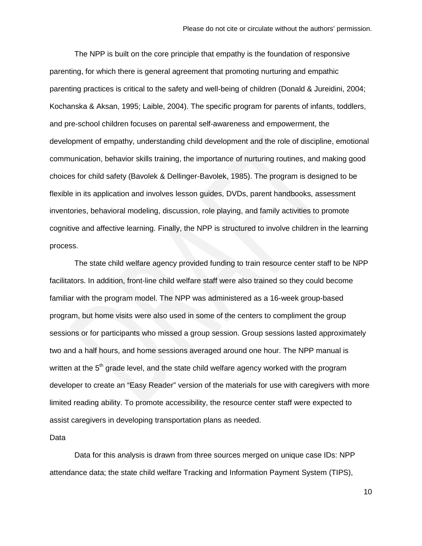The NPP is built on the core principle that empathy is the foundation of responsive parenting, for which there is general agreement that promoting nurturing and empathic parenting practices is critical to the safety and well-being of children (Donald & Jureidini, 2004; Kochanska & Aksan, 1995; Laible, 2004). The specific program for parents of infants, toddlers, and pre-school children focuses on parental self-awareness and empowerment, the development of empathy, understanding child development and the role of discipline, emotional communication, behavior skills training, the importance of nurturing routines, and making good choices for child safety (Bavolek & Dellinger-Bavolek, 1985). The program is designed to be flexible in its application and involves lesson guides, DVDs, parent handbooks, assessment inventories, behavioral modeling, discussion, role playing, and family activities to promote cognitive and affective learning. Finally, the NPP is structured to involve children in the learning process.

The state child welfare agency provided funding to train resource center staff to be NPP facilitators. In addition, front-line child welfare staff were also trained so they could become familiar with the program model. The NPP was administered as a 16-week group-based program, but home visits were also used in some of the centers to compliment the group sessions or for participants who missed a group session. Group sessions lasted approximately two and a half hours, and home sessions averaged around one hour. The NPP manual is written at the 5<sup>th</sup> grade level, and the state child welfare agency worked with the program developer to create an "Easy Reader" version of the materials for use with caregivers with more limited reading ability. To promote accessibility, the resource center staff were expected to assist caregivers in developing transportation plans as needed.

## Data

Data for this analysis is drawn from three sources merged on unique case IDs: NPP attendance data; the state child welfare Tracking and Information Payment System (TIPS),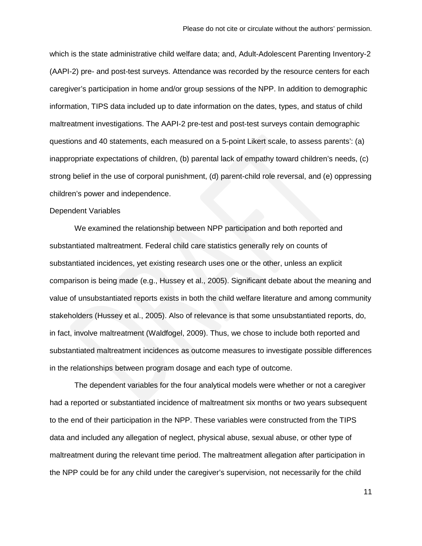which is the state administrative child welfare data; and, Adult-Adolescent Parenting Inventory-2 (AAPI-2) pre- and post-test surveys. Attendance was recorded by the resource centers for each caregiver's participation in home and/or group sessions of the NPP. In addition to demographic information, TIPS data included up to date information on the dates, types, and status of child maltreatment investigations. The AAPI-2 pre-test and post-test surveys contain demographic questions and 40 statements, each measured on a 5-point Likert scale, to assess parents': (a) inappropriate expectations of children, (b) parental lack of empathy toward children's needs, (c) strong belief in the use of corporal punishment, (d) parent-child role reversal, and (e) oppressing children's power and independence.

#### Dependent Variables

We examined the relationship between NPP participation and both reported and substantiated maltreatment. Federal child care statistics generally rely on counts of substantiated incidences, yet existing research uses one or the other, unless an explicit comparison is being made (e.g., Hussey et al., 2005). Significant debate about the meaning and value of unsubstantiated reports exists in both the child welfare literature and among community stakeholders (Hussey et al., 2005). Also of relevance is that some unsubstantiated reports, do, in fact, involve maltreatment (Waldfogel, 2009). Thus, we chose to include both reported and substantiated maltreatment incidences as outcome measures to investigate possible differences in the relationships between program dosage and each type of outcome.

The dependent variables for the four analytical models were whether or not a caregiver had a reported or substantiated incidence of maltreatment six months or two years subsequent to the end of their participation in the NPP. These variables were constructed from the TIPS data and included any allegation of neglect, physical abuse, sexual abuse, or other type of maltreatment during the relevant time period. The maltreatment allegation after participation in the NPP could be for any child under the caregiver's supervision, not necessarily for the child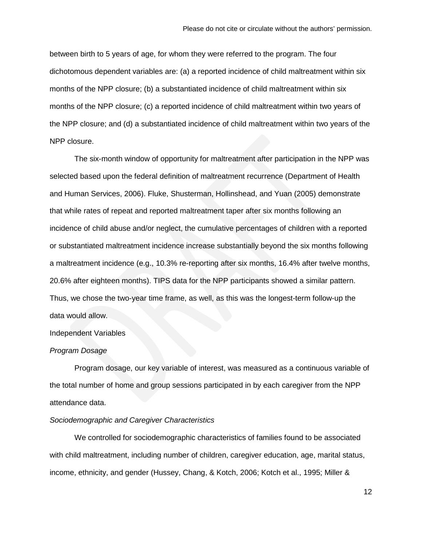between birth to 5 years of age, for whom they were referred to the program. The four dichotomous dependent variables are: (a) a reported incidence of child maltreatment within six months of the NPP closure; (b) a substantiated incidence of child maltreatment within six months of the NPP closure; (c) a reported incidence of child maltreatment within two years of the NPP closure; and (d) a substantiated incidence of child maltreatment within two years of the NPP closure.

The six-month window of opportunity for maltreatment after participation in the NPP was selected based upon the federal definition of maltreatment recurrence (Department of Health and Human Services, 2006). Fluke, Shusterman, Hollinshead, and Yuan (2005) demonstrate that while rates of repeat and reported maltreatment taper after six months following an incidence of child abuse and/or neglect, the cumulative percentages of children with a reported or substantiated maltreatment incidence increase substantially beyond the six months following a maltreatment incidence (e.g., 10.3% re-reporting after six months, 16.4% after twelve months, 20.6% after eighteen months). TIPS data for the NPP participants showed a similar pattern. Thus, we chose the two-year time frame, as well, as this was the longest-term follow-up the data would allow.

## Independent Variables

## *Program Dosage*

Program dosage, our key variable of interest, was measured as a continuous variable of the total number of home and group sessions participated in by each caregiver from the NPP attendance data.

## *Sociodemographic and Caregiver Characteristics*

We controlled for sociodemographic characteristics of families found to be associated with child maltreatment, including number of children, caregiver education, age, marital status, income, ethnicity, and gender (Hussey, Chang, & Kotch, 2006; Kotch et al., 1995; Miller &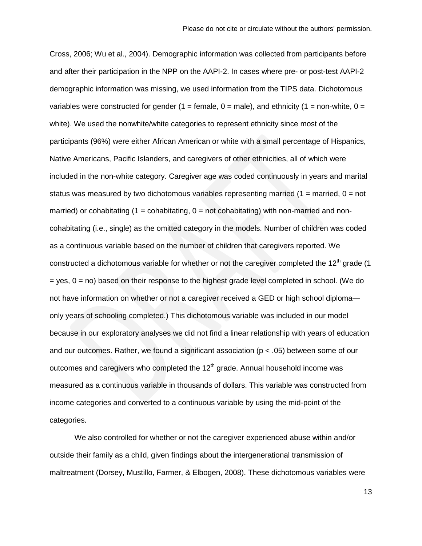Cross, 2006; Wu et al., 2004). Demographic information was collected from participants before and after their participation in the NPP on the AAPI-2. In cases where pre- or post-test AAPI-2 demographic information was missing, we used information from the TIPS data. Dichotomous variables were constructed for gender (1 = female,  $0 =$  male), and ethnicity (1 = non-white,  $0 =$ white). We used the nonwhite/white categories to represent ethnicity since most of the participants (96%) were either African American or white with a small percentage of Hispanics, Native Americans, Pacific Islanders, and caregivers of other ethnicities, all of which were included in the non-white category. Caregiver age was coded continuously in years and marital status was measured by two dichotomous variables representing married  $(1 =$  married,  $0 =$  not married) or cohabitating  $(1 = \text{cohabitating}, 0 = \text{not cohabitating})$  with non-married and noncohabitating (i.e., single) as the omitted category in the models. Number of children was coded as a continuous variable based on the number of children that caregivers reported. We constructed a dichotomous variable for whether or not the caregiver completed the 12<sup>th</sup> grade (1  $=$  yes,  $0 =$  no) based on their response to the highest grade level completed in school. (We do not have information on whether or not a caregiver received a GED or high school diploma only years of schooling completed.) This dichotomous variable was included in our model because in our exploratory analyses we did not find a linear relationship with years of education and our outcomes. Rather, we found a significant association ( $p < .05$ ) between some of our outcomes and caregivers who completed the  $12<sup>th</sup>$  grade. Annual household income was measured as a continuous variable in thousands of dollars. This variable was constructed from income categories and converted to a continuous variable by using the mid-point of the categories.

We also controlled for whether or not the caregiver experienced abuse within and/or outside their family as a child, given findings about the intergenerational transmission of maltreatment (Dorsey, Mustillo, Farmer, & Elbogen, 2008). These dichotomous variables were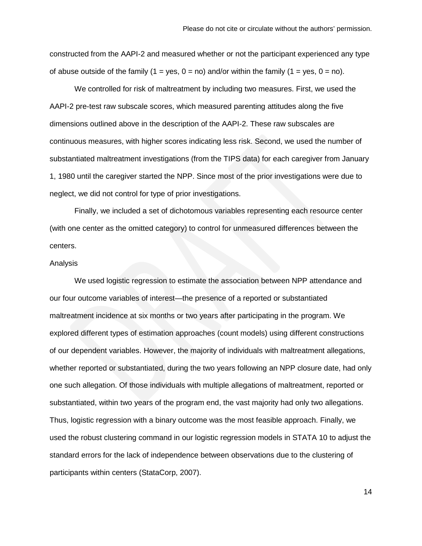constructed from the AAPI-2 and measured whether or not the participant experienced any type of abuse outside of the family (1 = yes, 0 = no) and/or within the family (1 = yes, 0 = no).

We controlled for risk of maltreatment by including two measures. First, we used the AAPI-2 pre-test raw subscale scores, which measured parenting attitudes along the five dimensions outlined above in the description of the AAPI-2. These raw subscales are continuous measures, with higher scores indicating less risk. Second, we used the number of substantiated maltreatment investigations (from the TIPS data) for each caregiver from January 1, 1980 until the caregiver started the NPP. Since most of the prior investigations were due to neglect, we did not control for type of prior investigations.

Finally, we included a set of dichotomous variables representing each resource center (with one center as the omitted category) to control for unmeasured differences between the centers.

#### Analysis

We used logistic regression to estimate the association between NPP attendance and our four outcome variables of interest—the presence of a reported or substantiated maltreatment incidence at six months or two years after participating in the program. We explored different types of estimation approaches (count models) using different constructions of our dependent variables. However, the majority of individuals with maltreatment allegations, whether reported or substantiated, during the two years following an NPP closure date, had only one such allegation. Of those individuals with multiple allegations of maltreatment, reported or substantiated, within two years of the program end, the vast majority had only two allegations. Thus, logistic regression with a binary outcome was the most feasible approach. Finally, we used the robust clustering command in our logistic regression models in STATA 10 to adjust the standard errors for the lack of independence between observations due to the clustering of participants within centers (StataCorp, 2007).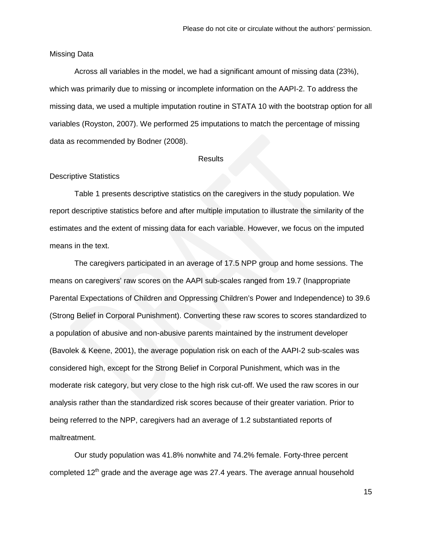#### Missing Data

Across all variables in the model, we had a significant amount of missing data (23%), which was primarily due to missing or incomplete information on the AAPI-2. To address the missing data, we used a multiple imputation routine in STATA 10 with the bootstrap option for all variables (Royston, 2007). We performed 25 imputations to match the percentage of missing data as recommended by Bodner (2008).

## **Results**

#### Descriptive Statistics

Table 1 presents descriptive statistics on the caregivers in the study population. We report descriptive statistics before and after multiple imputation to illustrate the similarity of the estimates and the extent of missing data for each variable. However, we focus on the imputed means in the text.

The caregivers participated in an average of 17.5 NPP group and home sessions. The means on caregivers' raw scores on the AAPI sub-scales ranged from 19.7 (Inappropriate Parental Expectations of Children and Oppressing Children's Power and Independence) to 39.6 (Strong Belief in Corporal Punishment). Converting these raw scores to scores standardized to a population of abusive and non-abusive parents maintained by the instrument developer (Bavolek & Keene, 2001), the average population risk on each of the AAPI-2 sub-scales was considered high, except for the Strong Belief in Corporal Punishment, which was in the moderate risk category, but very close to the high risk cut-off. We used the raw scores in our analysis rather than the standardized risk scores because of their greater variation. Prior to being referred to the NPP, caregivers had an average of 1.2 substantiated reports of maltreatment.

Our study population was 41.8% nonwhite and 74.2% female. Forty-three percent completed  $12<sup>th</sup>$  grade and the average age was 27.4 years. The average annual household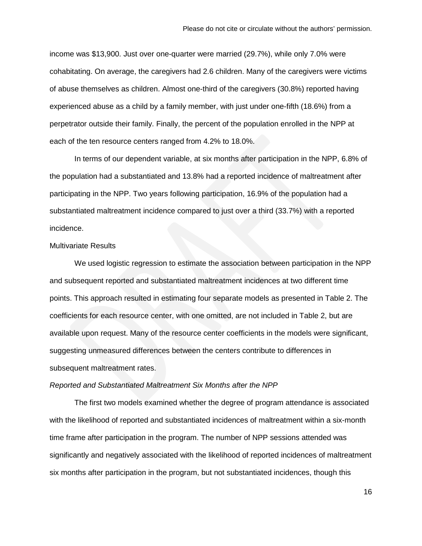income was \$13,900. Just over one-quarter were married (29.7%), while only 7.0% were cohabitating. On average, the caregivers had 2.6 children. Many of the caregivers were victims of abuse themselves as children. Almost one-third of the caregivers (30.8%) reported having experienced abuse as a child by a family member, with just under one-fifth (18.6%) from a perpetrator outside their family. Finally, the percent of the population enrolled in the NPP at each of the ten resource centers ranged from 4.2% to 18.0%.

In terms of our dependent variable, at six months after participation in the NPP, 6.8% of the population had a substantiated and 13.8% had a reported incidence of maltreatment after participating in the NPP. Two years following participation, 16.9% of the population had a substantiated maltreatment incidence compared to just over a third (33.7%) with a reported incidence.

#### Multivariate Results

We used logistic regression to estimate the association between participation in the NPP and subsequent reported and substantiated maltreatment incidences at two different time points. This approach resulted in estimating four separate models as presented in Table 2. The coefficients for each resource center, with one omitted, are not included in Table 2, but are available upon request. Many of the resource center coefficients in the models were significant, suggesting unmeasured differences between the centers contribute to differences in subsequent maltreatment rates.

#### *Reported and Substantiated Maltreatment Six Months after the NPP*

The first two models examined whether the degree of program attendance is associated with the likelihood of reported and substantiated incidences of maltreatment within a six-month time frame after participation in the program. The number of NPP sessions attended was significantly and negatively associated with the likelihood of reported incidences of maltreatment six months after participation in the program, but not substantiated incidences, though this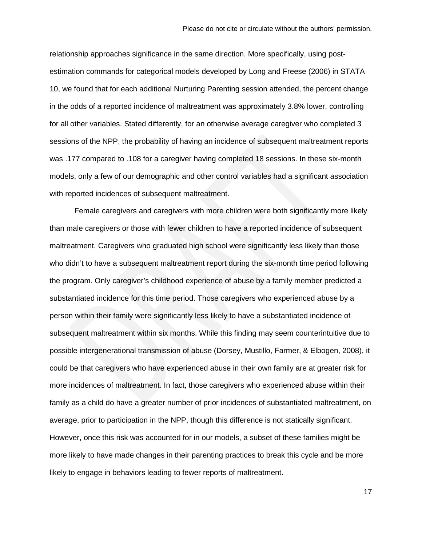relationship approaches significance in the same direction. More specifically, using postestimation commands for categorical models developed by Long and Freese (2006) in STATA 10, we found that for each additional Nurturing Parenting session attended, the percent change in the odds of a reported incidence of maltreatment was approximately 3.8% lower, controlling for all other variables. Stated differently, for an otherwise average caregiver who completed 3 sessions of the NPP, the probability of having an incidence of subsequent maltreatment reports was .177 compared to .108 for a caregiver having completed 18 sessions. In these six-month models, only a few of our demographic and other control variables had a significant association with reported incidences of subsequent maltreatment.

Female caregivers and caregivers with more children were both significantly more likely than male caregivers or those with fewer children to have a reported incidence of subsequent maltreatment. Caregivers who graduated high school were significantly less likely than those who didn't to have a subsequent maltreatment report during the six-month time period following the program. Only caregiver's childhood experience of abuse by a family member predicted a substantiated incidence for this time period. Those caregivers who experienced abuse by a person within their family were significantly less likely to have a substantiated incidence of subsequent maltreatment within six months. While this finding may seem counterintuitive due to possible intergenerational transmission of abuse (Dorsey, Mustillo, Farmer, & Elbogen, 2008), it could be that caregivers who have experienced abuse in their own family are at greater risk for more incidences of maltreatment. In fact, those caregivers who experienced abuse within their family as a child do have a greater number of prior incidences of substantiated maltreatment, on average, prior to participation in the NPP, though this difference is not statically significant. However, once this risk was accounted for in our models, a subset of these families might be more likely to have made changes in their parenting practices to break this cycle and be more likely to engage in behaviors leading to fewer reports of maltreatment.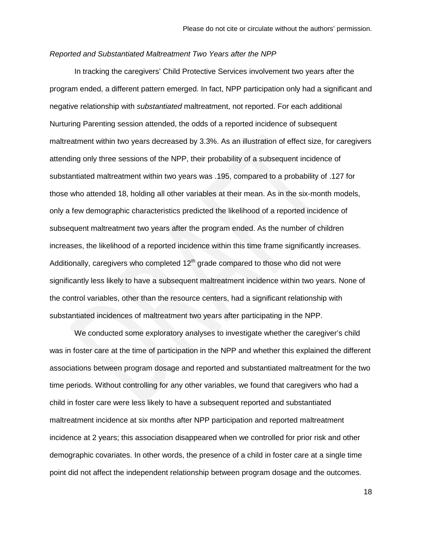## *Reported and Substantiated Maltreatment Two Years after the NPP*

In tracking the caregivers' Child Protective Services involvement two years after the program ended, a different pattern emerged. In fact, NPP participation only had a significant and negative relationship with *substantiated* maltreatment, not reported. For each additional Nurturing Parenting session attended, the odds of a reported incidence of subsequent maltreatment within two years decreased by 3.3%. As an illustration of effect size, for caregivers attending only three sessions of the NPP, their probability of a subsequent incidence of substantiated maltreatment within two years was .195, compared to a probability of .127 for those who attended 18, holding all other variables at their mean. As in the six-month models, only a few demographic characteristics predicted the likelihood of a reported incidence of subsequent maltreatment two years after the program ended. As the number of children increases, the likelihood of a reported incidence within this time frame significantly increases. Additionally, caregivers who completed  $12<sup>th</sup>$  grade compared to those who did not were significantly less likely to have a subsequent maltreatment incidence within two years. None of the control variables, other than the resource centers, had a significant relationship with substantiated incidences of maltreatment two years after participating in the NPP.

We conducted some exploratory analyses to investigate whether the caregiver's child was in foster care at the time of participation in the NPP and whether this explained the different associations between program dosage and reported and substantiated maltreatment for the two time periods. Without controlling for any other variables, we found that caregivers who had a child in foster care were less likely to have a subsequent reported and substantiated maltreatment incidence at six months after NPP participation and reported maltreatment incidence at 2 years; this association disappeared when we controlled for prior risk and other demographic covariates. In other words, the presence of a child in foster care at a single time point did not affect the independent relationship between program dosage and the outcomes.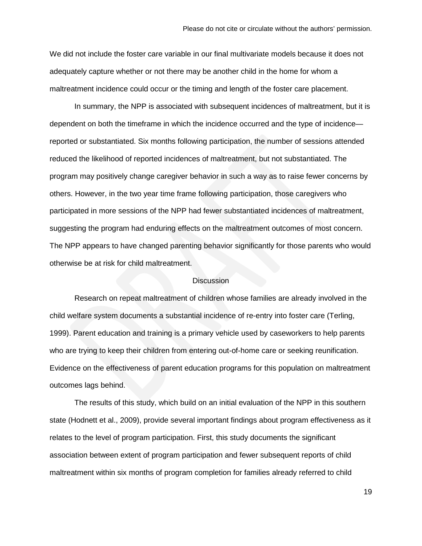We did not include the foster care variable in our final multivariate models because it does not adequately capture whether or not there may be another child in the home for whom a maltreatment incidence could occur or the timing and length of the foster care placement.

In summary, the NPP is associated with subsequent incidences of maltreatment, but it is dependent on both the timeframe in which the incidence occurred and the type of incidence reported or substantiated. Six months following participation, the number of sessions attended reduced the likelihood of reported incidences of maltreatment, but not substantiated. The program may positively change caregiver behavior in such a way as to raise fewer concerns by others. However, in the two year time frame following participation, those caregivers who participated in more sessions of the NPP had fewer substantiated incidences of maltreatment, suggesting the program had enduring effects on the maltreatment outcomes of most concern. The NPP appears to have changed parenting behavior significantly for those parents who would otherwise be at risk for child maltreatment.

## **Discussion**

Research on repeat maltreatment of children whose families are already involved in the child welfare system documents a substantial incidence of re-entry into foster care (Terling, 1999). Parent education and training is a primary vehicle used by caseworkers to help parents who are trying to keep their children from entering out-of-home care or seeking reunification. Evidence on the effectiveness of parent education programs for this population on maltreatment outcomes lags behind.

The results of this study, which build on an initial evaluation of the NPP in this southern state (Hodnett et al., 2009), provide several important findings about program effectiveness as it relates to the level of program participation. First, this study documents the significant association between extent of program participation and fewer subsequent reports of child maltreatment within six months of program completion for families already referred to child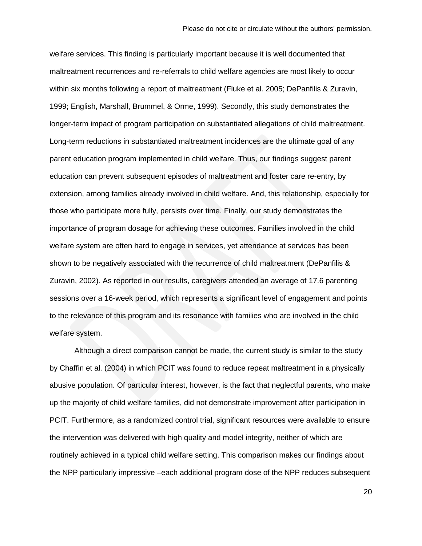welfare services. This finding is particularly important because it is well documented that maltreatment recurrences and re-referrals to child welfare agencies are most likely to occur within six months following a report of maltreatment (Fluke et al. 2005; DePanfilis & Zuravin, 1999; English, Marshall, Brummel, & Orme, 1999). Secondly, this study demonstrates the longer-term impact of program participation on substantiated allegations of child maltreatment. Long-term reductions in substantiated maltreatment incidences are the ultimate goal of any parent education program implemented in child welfare. Thus, our findings suggest parent education can prevent subsequent episodes of maltreatment and foster care re-entry, by extension, among families already involved in child welfare. And, this relationship, especially for those who participate more fully, persists over time. Finally, our study demonstrates the importance of program dosage for achieving these outcomes. Families involved in the child welfare system are often hard to engage in services, yet attendance at services has been shown to be negatively associated with the recurrence of child maltreatment (DePanfilis & Zuravin, 2002). As reported in our results, caregivers attended an average of 17.6 parenting sessions over a 16-week period, which represents a significant level of engagement and points to the relevance of this program and its resonance with families who are involved in the child welfare system.

Although a direct comparison cannot be made, the current study is similar to the study by Chaffin et al. (2004) in which PCIT was found to reduce repeat maltreatment in a physically abusive population. Of particular interest, however, is the fact that neglectful parents, who make up the majority of child welfare families, did not demonstrate improvement after participation in PCIT. Furthermore, as a randomized control trial, significant resources were available to ensure the intervention was delivered with high quality and model integrity, neither of which are routinely achieved in a typical child welfare setting. This comparison makes our findings about the NPP particularly impressive –each additional program dose of the NPP reduces subsequent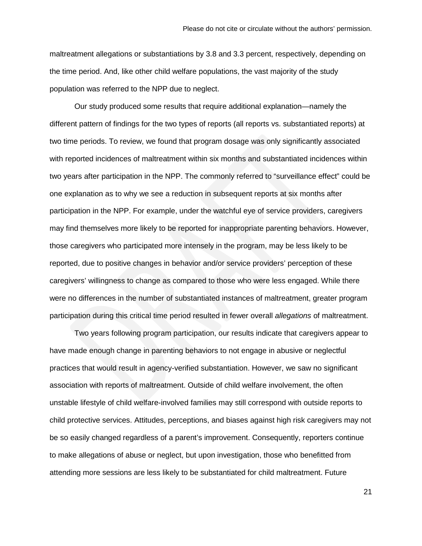maltreatment allegations or substantiations by 3.8 and 3.3 percent, respectively, depending on the time period. And, like other child welfare populations, the vast majority of the study population was referred to the NPP due to neglect.

Our study produced some results that require additional explanation—namely the different pattern of findings for the two types of reports (all reports vs. substantiated reports) at two time periods. To review, we found that program dosage was only significantly associated with reported incidences of maltreatment within six months and substantiated incidences within two years after participation in the NPP. The commonly referred to "surveillance effect" could be one explanation as to why we see a reduction in subsequent reports at six months after participation in the NPP. For example, under the watchful eye of service providers, caregivers may find themselves more likely to be reported for inappropriate parenting behaviors. However, those caregivers who participated more intensely in the program, may be less likely to be reported, due to positive changes in behavior and/or service providers' perception of these caregivers' willingness to change as compared to those who were less engaged. While there were no differences in the number of substantiated instances of maltreatment, greater program participation during this critical time period resulted in fewer overall *allegations* of maltreatment.

Two years following program participation, our results indicate that caregivers appear to have made enough change in parenting behaviors to not engage in abusive or neglectful practices that would result in agency-verified substantiation. However, we saw no significant association with reports of maltreatment. Outside of child welfare involvement, the often unstable lifestyle of child welfare-involved families may still correspond with outside reports to child protective services. Attitudes, perceptions, and biases against high risk caregivers may not be so easily changed regardless of a parent's improvement. Consequently, reporters continue to make allegations of abuse or neglect, but upon investigation, those who benefitted from attending more sessions are less likely to be substantiated for child maltreatment. Future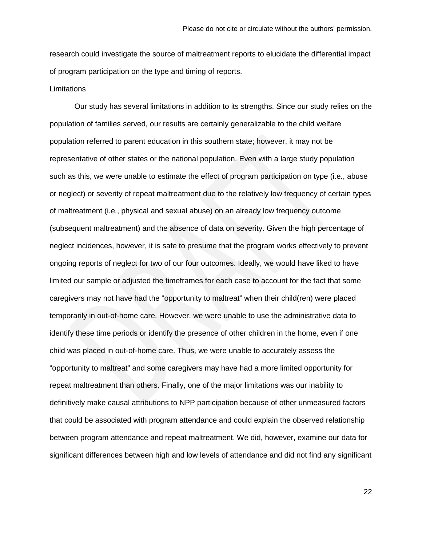research could investigate the source of maltreatment reports to elucidate the differential impact of program participation on the type and timing of reports.

#### **Limitations**

Our study has several limitations in addition to its strengths. Since our study relies on the population of families served, our results are certainly generalizable to the child welfare population referred to parent education in this southern state; however, it may not be representative of other states or the national population. Even with a large study population such as this, we were unable to estimate the effect of program participation on type (i.e., abuse or neglect) or severity of repeat maltreatment due to the relatively low frequency of certain types of maltreatment (i.e., physical and sexual abuse) on an already low frequency outcome (subsequent maltreatment) and the absence of data on severity. Given the high percentage of neglect incidences, however, it is safe to presume that the program works effectively to prevent ongoing reports of neglect for two of our four outcomes. Ideally, we would have liked to have limited our sample or adjusted the timeframes for each case to account for the fact that some caregivers may not have had the "opportunity to maltreat" when their child(ren) were placed temporarily in out-of-home care. However, we were unable to use the administrative data to identify these time periods or identify the presence of other children in the home, even if one child was placed in out-of-home care. Thus, we were unable to accurately assess the "opportunity to maltreat" and some caregivers may have had a more limited opportunity for repeat maltreatment than others. Finally, one of the major limitations was our inability to definitively make causal attributions to NPP participation because of other unmeasured factors that could be associated with program attendance and could explain the observed relationship between program attendance and repeat maltreatment. We did, however, examine our data for significant differences between high and low levels of attendance and did not find any significant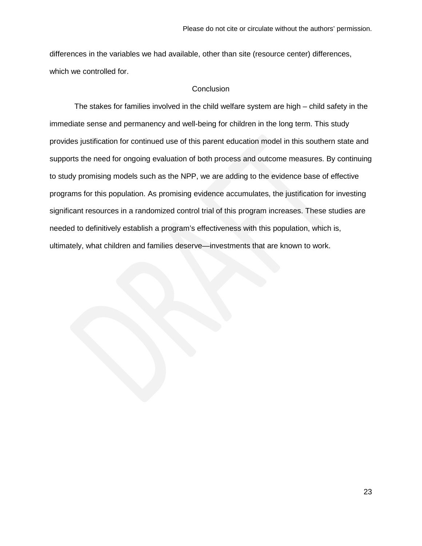differences in the variables we had available, other than site (resource center) differences, which we controlled for.

## **Conclusion**

The stakes for families involved in the child welfare system are high – child safety in the immediate sense and permanency and well-being for children in the long term. This study provides justification for continued use of this parent education model in this southern state and supports the need for ongoing evaluation of both process and outcome measures. By continuing to study promising models such as the NPP, we are adding to the evidence base of effective programs for this population. As promising evidence accumulates, the justification for investing significant resources in a randomized control trial of this program increases. These studies are needed to definitively establish a program's effectiveness with this population, which is, ultimately, what children and families deserve—investments that are known to work.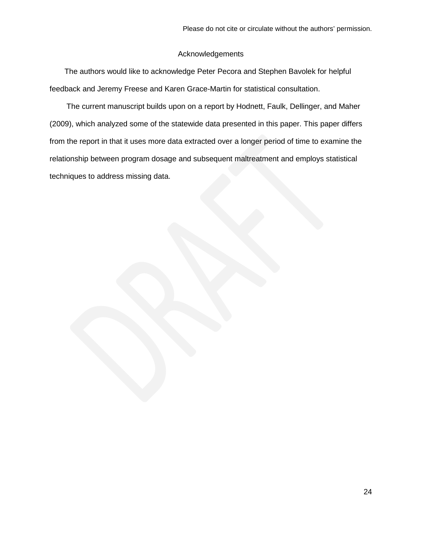## Acknowledgements

The authors would like to acknowledge Peter Pecora and Stephen Bavolek for helpful feedback and Jeremy Freese and Karen Grace-Martin for statistical consultation.

The current manuscript builds upon on a report by Hodnett, Faulk, Dellinger, and Maher (2009), which analyzed some of the statewide data presented in this paper. This paper differs from the report in that it uses more data extracted over a longer period of time to examine the relationship between program dosage and subsequent maltreatment and employs statistical techniques to address missing data.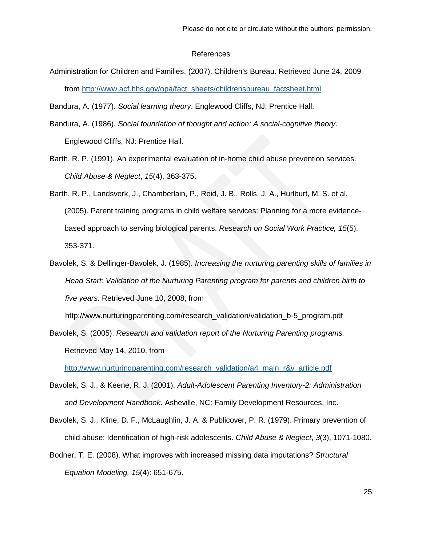#### References

Administration for Children and Families. (2007). Children's Bureau. Retrieved June 24, 2009 from [http://www.acf.hhs.gov/opa/fact\\_sheets/childrensbureau\\_factsheet.html](http://www.acf.hhs.gov/opa/fact_sheets/childrensbureau_factsheet.html)

Bandura, A. (1977). *Social learning theory*. Englewood Cliffs, NJ: Prentice Hall.

- Bandura, A. (1986). *Social foundation of thought and action: A social-cognitive theory*. Englewood Cliffs, NJ: Prentice Hall.
- Barth, R. P. (1991). An experimental evaluation of in-home child abuse prevention services. *Child Abuse & Neglect*, *15*(4), 363-375.
- Barth, R. P., Landsverk, J., Chamberlain, P., Reid, J. B., Rolls, J. A., Hurlburt, M. S. et al. (2005). Parent training programs in child welfare services: Planning for a more evidencebased approach to serving biological parents. *Research on Social Work Practice, 15*(5), 353-371.
- Bavolek, S. & Dellinger-Bavolek, J. (1985). *Increasing the nurturing parenting skills of families in Head Start: Validation of the Nurturing Parenting program for parents and children birth to five years*. Retrieved June 10, 2008, from

http://www.nurturingparenting.com/research\_validation/validation\_b-5\_program.pdf

Bavolek, S. (2005). *Research and validation report of the Nurturing Parenting programs.* Retrieved May 14, 2010, from

[http://www.nurturingparenting.com/research\\_validation/a4\\_main\\_r&v\\_article.pdf](http://www.nurturingparenting.com/research_validation/a4_main_r&v_article.pdf)

- Bavolek, S. J., & Keene, R. J. (2001). *Adult-Adolescent Parenting Inventory-2: Administration and Development Handbook*. Asheville, NC: Family Development Resources, Inc.
- Bavolek, S. J., Kline, D. F., McLaughlin, J. A. & Publicover, P. R. (1979). Primary prevention of child abuse: Identification of high-risk adolescents. *Child Abuse & Neglect*, *3*(3), 1071-1080.
- Bodner, T. E. (2008). What improves with increased missing data imputations? *Structural Equation Modeling, 15*(4): 651-675.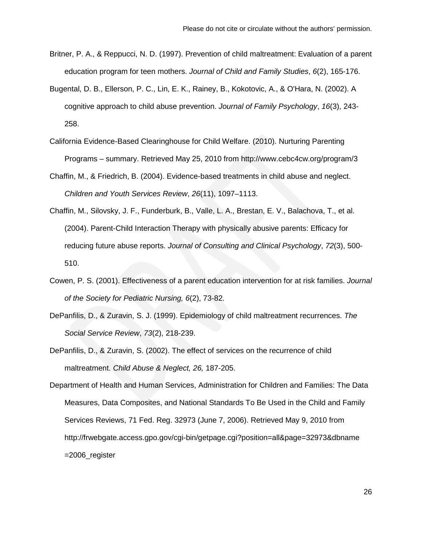- Britner, P. A., & Reppucci, N. D. (1997). Prevention of child maltreatment: Evaluation of a parent education program for teen mothers. *Journal of Child and Family Studies*, *6*(2), 165-176.
- Bugental, D. B., Ellerson, P. C., Lin, E. K., Rainey, B., Kokotovic, A., & O'Hara, N. (2002). A cognitive approach to child abuse prevention. *Journal of Family Psychology*, *16*(3), 243- 258.
- California Evidence-Based Clearinghouse for Child Welfare. (2010). Nurturing Parenting Programs – summary. Retrieved May 25, 2010 from http://www.cebc4cw.org/program/3
- Chaffin, M., & Friedrich, B. (2004). Evidence-based treatments in child abuse and neglect. *Children and Youth Services Review*, *26*(11), 1097–1113.
- Chaffin, M., Silovsky, J. F., Funderburk, B., Valle, L. A., Brestan, E. V., Balachova, T., et al. (2004). Parent-Child Interaction Therapy with physically abusive parents: Efficacy for reducing future abuse reports. *Journal of Consulting and Clinical Psychology*, *72*(3), 500- 510.
- Cowen, P. S. (2001). Effectiveness of a parent education intervention for at risk families. *Journal of the Society for Pediatric Nursing, 6*(2), 73-82.
- DePanfilis, D., & Zuravin, S. J. (1999). Epidemiology of child maltreatment recurrences. *The Social Service Review*, *73*(2), 218-239.
- DePanfilis, D., & Zuravin, S. (2002). The effect of services on the recurrence of child maltreatment. *Child Abuse & Neglect, 26,* 187-205.

Department of Health and Human Services, Administration for Children and Families: The Data Measures, Data Composites, and National Standards To Be Used in the Child and Family Services Reviews, 71 Fed. Reg. 32973 (June 7, 2006). Retrieved May 9, 2010 from http://frwebgate.access.gpo.gov/cgi-bin/getpage.cgi?position=all&page=32973&dbname =2006\_register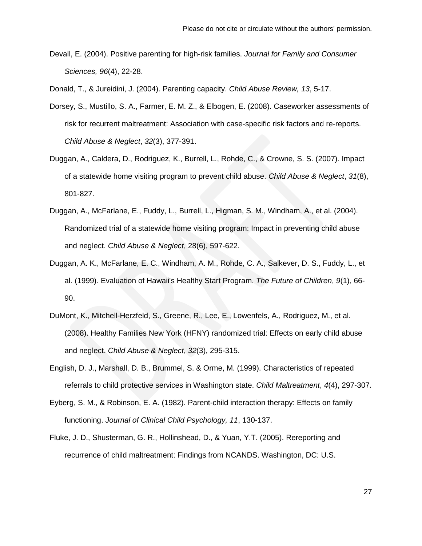Devall, E. (2004). Positive parenting for high-risk families. *Journal for Family and Consumer Sciences, 96*(4), 22-28.

Donald, T., & Jureidini, J. (2004). Parenting capacity. *Child Abuse Review, 13*, 5-17.

- Dorsey, S., Mustillo, S. A., Farmer, E. M. Z., & Elbogen, E. (2008). Caseworker assessments of risk for recurrent maltreatment: Association with case-specific risk factors and re-reports. *Child Abuse & Neglect*, *32*(3), 377-391.
- Duggan, A., Caldera, D., Rodriguez, K., Burrell, L., Rohde, C., & Crowne, S. S. (2007). Impact of a statewide home visiting program to prevent child abuse. *Child Abuse & Neglect*, *31*(8), 801-827.
- Duggan, A., McFarlane, E., Fuddy, L., Burrell, L., Higman, S. M., Windham, A., et al. (2004). Randomized trial of a statewide home visiting program: Impact in preventing child abuse and neglect. *Child Abuse & Neglect*, 28(6), 597-622.
- Duggan, A. K., McFarlane, E. C., Windham, A. M., Rohde, C. A., Salkever, D. S., Fuddy, L., et al. (1999). Evaluation of Hawaii's Healthy Start Program. *The Future of Children*, *9*(1), 66- 90.
- DuMont, K., Mitchell-Herzfeld, S., Greene, R., Lee, E., Lowenfels, A., Rodriguez, M., et al. (2008). Healthy Families New York (HFNY) randomized trial: Effects on early child abuse and neglect. *Child Abuse & Neglect*, *32*(3), 295-315.
- English, D. J., Marshall, D. B., Brummel, S. & Orme, M. (1999). Characteristics of repeated referrals to child protective services in Washington state. *Child Maltreatment*, *4*(4), 297-307.
- Eyberg, S. M., & Robinson, E. A. (1982). Parent-child interaction therapy: Effects on family functioning. *Journal of Clinical Child Psychology, 11*, 130-137.
- Fluke, J. D., Shusterman, G. R., Hollinshead, D., & Yuan, Y.T. (2005). Rereporting and recurrence of child maltreatment: Findings from NCANDS. Washington, DC: U.S.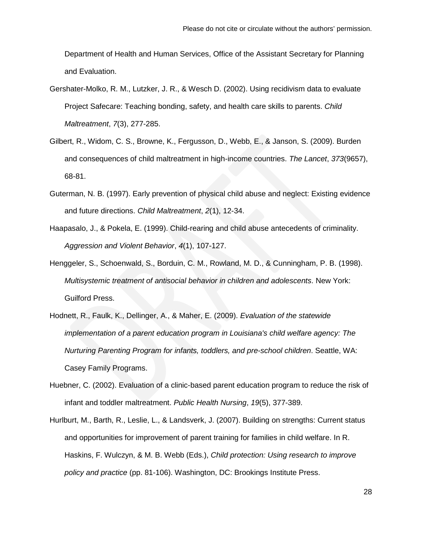Department of Health and Human Services, Office of the Assistant Secretary for Planning and Evaluation.

- Gershater-Molko, R. M., Lutzker, J. R., & Wesch D. (2002). Using recidivism data to evaluate Project Safecare: Teaching bonding, safety, and health care skills to parents. *Child Maltreatment*, *7*(3), 277-285.
- Gilbert, R., Widom, C. S., Browne, K., Fergusson, D., Webb, E., & Janson, S. (2009). Burden and consequences of child maltreatment in high-income countries. *The Lancet*, *373*(9657), 68-81.
- Guterman, N. B. (1997). Early prevention of physical child abuse and neglect: Existing evidence and future directions. *Child Maltreatment*, *2*(1), 12-34.
- Haapasalo, J., & Pokela, E. (1999). Child-rearing and child abuse antecedents of criminality. *Aggression and Violent Behavior*, *4*(1), 107-127.
- Henggeler, S., Schoenwald, S., Borduin, C. M., Rowland, M. D., & Cunningham, P. B. (1998). *Multisystemic treatment of antisocial behavior in children and adolescents*. New York: Guilford Press.
- Hodnett, R., Faulk, K., Dellinger, A., & Maher, E. (2009). *Evaluation of the statewide implementation of a parent education program in Louisiana's child welfare agency: The Nurturing Parenting Program for infants, toddlers, and pre-school children*. Seattle, WA: Casey Family Programs.
- Huebner, C. (2002). Evaluation of a clinic-based parent education program to reduce the risk of infant and toddler maltreatment. *Public Health Nursing*, *19*(5), 377-389.
- Hurlburt, M., Barth, R., Leslie, L., & Landsverk, J. (2007). Building on strengths: Current status and opportunities for improvement of parent training for families in child welfare. In R. Haskins, F. Wulczyn, & M. B. Webb (Eds.), *Child protection: Using research to improve policy and practice* (pp. 81-106). Washington, DC: Brookings Institute Press.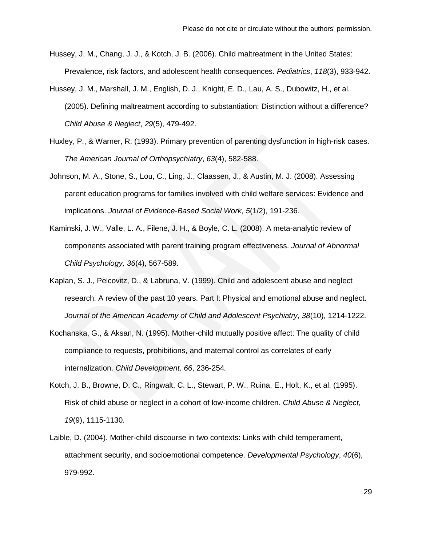- Hussey, J. M., Chang, J. J., & Kotch, J. B. (2006). Child maltreatment in the United States: Prevalence, risk factors, and adolescent health consequences. *Pediatrics*, *118*(3), 933-942.
- Hussey, J. M., Marshall, J. M., English, D. J., Knight, E. D., Lau, A. S., Dubowitz, H., et al. (2005). Defining maltreatment according to substantiation: Distinction without a difference? *Child Abuse & Neglect*, *29*(5), 479-492.
- Huxley, P., & Warner, R. (1993). Primary prevention of parenting dysfunction in high-risk cases. *The American Journal of Orthopsychiatry*, *63*(4), 582-588.
- Johnson, M. A., Stone, S., Lou, C., Ling, J., Claassen, J., & Austin, M. J. (2008). Assessing parent education programs for families involved with child welfare services: Evidence and implications. *Journal of Evidence-Based Social Work*, *5*(1/2), 191-236.
- Kaminski, J. W., Valle, L. A., Filene, J. H., & Boyle, C. L. (2008). A meta-analytic review of components associated with parent training program effectiveness. *Journal of Abnormal Child Psychology, 36*(4), 567-589.
- Kaplan, S. J., Pelcovitz, D., & Labruna, V. (1999). Child and adolescent abuse and neglect research: A review of the past 10 years. Part I: Physical and emotional abuse and neglect. *Journal of the American Academy of Child and Adolescent Psychiatry*, *38*(10), 1214-1222.
- Kochanska, G., & Aksan, N. (1995). Mother-child mutually positive affect: The quality of child compliance to requests, prohibitions, and maternal control as correlates of early internalization. *Child Development, 66*, 236-254*.*
- Kotch, J. B., Browne, D. C., Ringwalt, C. L., Stewart, P. W., Ruina, E., Holt, K., et al. (1995). Risk of child abuse or neglect in a cohort of low-income children. *Child Abuse & Neglect*, *19*(9), 1115-1130.
- Laible, D. (2004). Mother-child discourse in two contexts: Links with child temperament, attachment security, and socioemotional competence. *Developmental Psychology*, *40*(6), 979-992.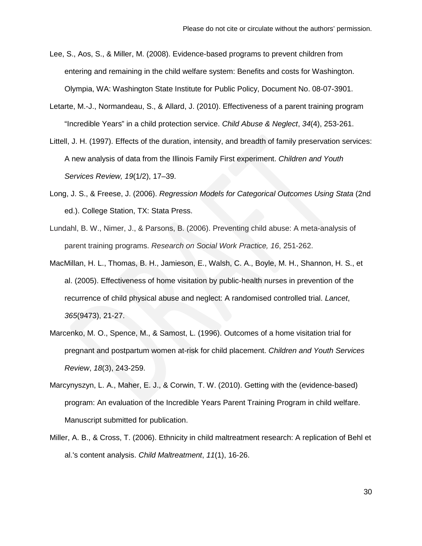- Lee, S., Aos, S., & Miller, M. (2008). Evidence-based programs to prevent children from entering and remaining in the child welfare system: Benefits and costs for Washington. Olympia, WA: Washington State Institute for Public Policy, Document No. 08-07-3901.
- Letarte, M.-J., Normandeau, S., & Allard, J. (2010). Effectiveness of a parent training program "Incredible Years" in a child protection service. *Child Abuse & Neglect*, *34*(4), 253-261.
- Littell, J. H. (1997). Effects of the duration, intensity, and breadth of family preservation services: A new analysis of data from the Illinois Family First experiment. *Children and Youth Services Review, 19*(1/2), 17–39.
- Long, J. S., & Freese, J. (2006). *Regression Models for Categorical Outcomes Using Stata* (2nd ed.). College Station, TX: Stata Press.
- Lundahl, B. W., Nimer, J., & Parsons, B. (2006). Preventing child abuse: A meta-analysis of parent training programs. *Research on Social Work Practice, 16*, 251-262.
- MacMillan, H. L., Thomas, B. H., Jamieson, E., Walsh, C. A., Boyle, M. H., Shannon, H. S., et al. (2005). Effectiveness of home visitation by public-health nurses in prevention of the recurrence of child physical abuse and neglect: A randomised controlled trial. *Lancet*, *365*(9473), 21-27.
- Marcenko, M. O., Spence, M., & Samost, L. (1996). Outcomes of a home visitation trial for pregnant and postpartum women at-risk for child placement. *Children and Youth Services Review*, *18*(3), 243-259.
- Marcynyszyn, L. A., Maher, E. J., & Corwin, T. W. (2010). Getting with the (evidence-based) program: An evaluation of the Incredible Years Parent Training Program in child welfare. Manuscript submitted for publication.
- Miller, A. B., & Cross, T. (2006). Ethnicity in child maltreatment research: A replication of Behl et al.'s content analysis. *Child Maltreatment*, *11*(1), 16-26.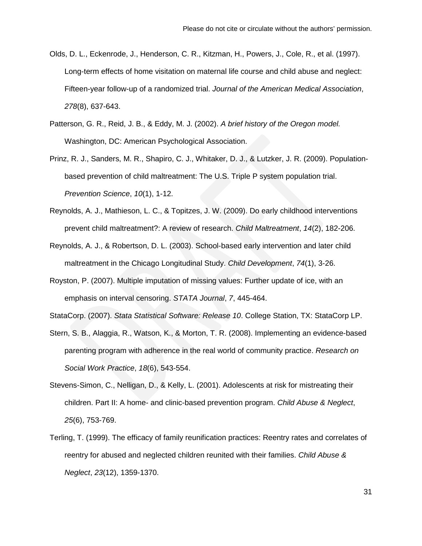- Olds, D. L., Eckenrode, J., Henderson, C. R., Kitzman, H., Powers, J., Cole, R., et al. (1997). Long-term effects of home visitation on maternal life course and child abuse and neglect: Fifteen-year follow-up of a randomized trial. *Journal of the American Medical Association*, *278*(8), 637-643.
- Patterson, G. R., Reid, J. B., & Eddy, M. J. (2002). *A brief history of the Oregon model.* Washington, DC: American Psychological Association.
- Prinz, R. J., Sanders, M. R., Shapiro, C. J., Whitaker, D. J., & Lutzker, J. R. (2009). Populationbased prevention of child maltreatment: The U.S. Triple P system population trial. *Prevention Science*, *10*(1), 1-12.
- Reynolds, A. J., Mathieson, L. C., & Topitzes, J. W. (2009). Do early childhood interventions prevent child maltreatment?: A review of research. *Child Maltreatment*, *14*(2), 182-206.
- Reynolds, A. J., & Robertson, D. L. (2003). School-based early intervention and later child maltreatment in the Chicago Longitudinal Study. *Child Development*, *74*(1), 3-26.
- Royston, P. (2007). Multiple imputation of missing values: Further update of ice, with an emphasis on interval censoring. *STATA Journal*, *7*, 445-464.

StataCorp. (2007). *Stata Statistical Software: Release 10*. College Station, TX: StataCorp LP.

- Stern, S. B., Alaggia, R., Watson, K., & Morton, T. R. (2008). Implementing an evidence-based parenting program with adherence in the real world of community practice. *Research on Social Work Practice*, *18*(6), 543-554.
- Stevens-Simon, C., Nelligan, D., & Kelly, L. (2001). Adolescents at risk for mistreating their children. Part II: A home- and clinic-based prevention program. *Child Abuse & Neglect*, *25*(6), 753-769.
- Terling, T. (1999). The efficacy of family reunification practices: Reentry rates and correlates of reentry for abused and neglected children reunited with their families. *Child Abuse & Neglect*, *23*(12), 1359-1370.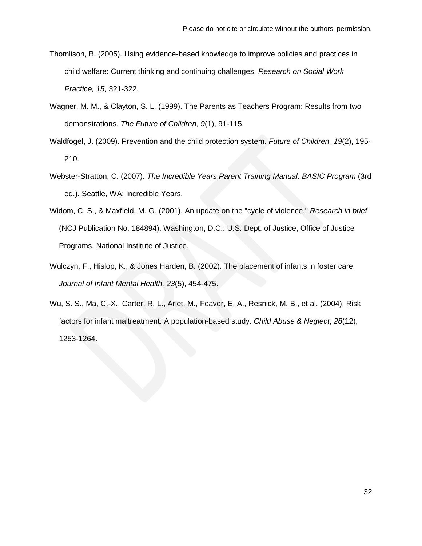- Thomlison, B. (2005). Using evidence-based knowledge to improve policies and practices in child welfare: Current thinking and continuing challenges. *Research on Social Work Practice, 15*, 321-322.
- Wagner, M. M., & Clayton, S. L. (1999). The Parents as Teachers Program: Results from two demonstrations. *The Future of Children*, *9*(1), 91-115.
- Waldfogel, J. (2009). Prevention and the child protection system. *Future of Children, 19*(2), 195- 210.
- Webster-Stratton, C. (2007). *The Incredible Years Parent Training Manual: BASIC Program* (3rd ed.). Seattle, WA: Incredible Years.
- Widom, C. S., & Maxfield, M. G. (2001). An update on the "cycle of violence." *Research in brief* (NCJ Publication No. 184894). Washington, D.C.: U.S. Dept. of Justice, Office of Justice Programs, National Institute of Justice.
- Wulczyn, F., Hislop, K., & Jones Harden, B. (2002). The placement of infants in foster care. *Journal of Infant Mental Health, 23*(5), 454-475.
- Wu, S. S., Ma, C.-X., Carter, R. L., Ariet, M., Feaver, E. A., Resnick, M. B., et al. (2004). Risk factors for infant maltreatment: A population-based study. *Child Abuse & Neglect*, *28*(12), 1253-1264.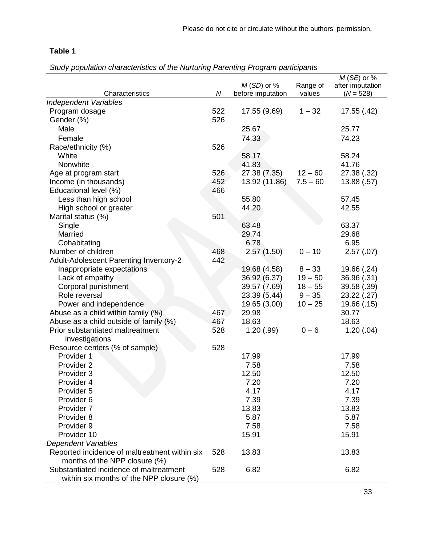# **Table 1**

*Study population characteristics of the Nurturing Parenting Program participants*

|                                               |            |                          |            | $M$ (SE) or %    |  |
|-----------------------------------------------|------------|--------------------------|------------|------------------|--|
|                                               |            | $M(SD)$ or %<br>Range of |            | after imputation |  |
| Characteristics                               | ${\cal N}$ | before imputation        | values     | $(N = 528)$      |  |
| <b>Independent Variables</b>                  |            |                          |            |                  |  |
| Program dosage                                | 522        | 17.55 (9.69)<br>$1 - 32$ |            | 17.55 (.42)      |  |
| Gender (%)                                    | 526        |                          |            |                  |  |
| Male                                          |            | 25.67                    |            | 25.77            |  |
| Female                                        |            | 74.33                    |            | 74.23            |  |
| Race/ethnicity (%)                            | 526        |                          |            |                  |  |
| White                                         |            | 58.17                    |            | 58.24            |  |
| Nonwhite                                      |            | 41.83                    |            | 41.76            |  |
| Age at program start                          | 526        | 27.38 (7.35)             | $12 - 60$  | 27.38 (.32)      |  |
| Income (in thousands)                         | 452        | 13.92 (11.86)            | $7.5 - 60$ | 13.88(.57)       |  |
| Educational level (%)                         | 466        |                          |            |                  |  |
| Less than high school                         |            | 55.80                    |            | 57.45            |  |
| High school or greater                        |            | 44.20                    |            | 42.55            |  |
| Marital status (%)                            | 501        |                          |            |                  |  |
| Single                                        |            | 63.48                    |            | 63.37            |  |
| Married                                       |            | 29.74                    |            | 29.68            |  |
| Cohabitating                                  |            | 6.78                     |            | 6.95             |  |
| Number of children                            | 468        | 2.57(1.50)               | $0 - 10$   | 2.57(0.07)       |  |
| <b>Adult-Adolescent Parenting Inventory-2</b> | 442        |                          |            |                  |  |
| Inappropriate expectations                    |            | 19.68 (4.58)             | $8 - 33$   | 19.66 (.24)      |  |
| Lack of empathy                               |            | 36.92 (6.37)             | $19 - 50$  | 36.96 (.31)      |  |
| Corporal punishment                           |            | 39.57 (7.69)             | $18 - 55$  | 39.58 (.39)      |  |
| Role reversal                                 |            | 23.39 (5.44)             | $9 - 35$   | 23.22 (.27)      |  |
| Power and independence                        |            | 19.65 (3.00)             | $10 - 25$  | 19.66 (.15)      |  |
| Abuse as a child within family (%)            | 467        | 29.98                    |            | 30.77            |  |
| Abuse as a child outside of family (%)        | 467        | 18.63                    |            | 18.63            |  |
| Prior substantiated maltreatment              | 528        | 1.20(.99)                | $0 - 6$    | 1.20(.04)        |  |
| investigations                                |            |                          |            |                  |  |
| Resource centers (% of sample)                | 528        |                          |            |                  |  |
| Provider 1                                    |            | 17.99                    |            | 17.99            |  |
| Provider 2                                    |            | 7.58                     |            | 7.58             |  |
| Provider 3                                    |            | 12.50                    |            | 12.50            |  |
| Provider 4                                    |            | 7.20                     |            | 7.20             |  |
| Provider 5                                    |            | 4.17                     |            | 4.17             |  |
| Provider 6                                    |            | 7.39                     |            | 7.39             |  |
| Provider 7                                    |            | 13.83                    |            | 13.83            |  |
| Provider 8                                    |            | 5.87                     |            | 5.87             |  |
| Provider 9                                    |            | 7.58                     |            | 7.58             |  |
| Provider 10                                   |            | 15.91                    |            | 15.91            |  |
| <b>Dependent Variables</b>                    |            |                          |            |                  |  |
| Reported incidence of maltreatment within six | 528        | 13.83                    |            | 13.83            |  |
| months of the NPP closure (%)                 |            |                          |            |                  |  |
| Substantiated incidence of maltreatment       | 528        | 6.82                     |            | 6.82             |  |
| within six months of the NPP closure (%)      |            |                          |            |                  |  |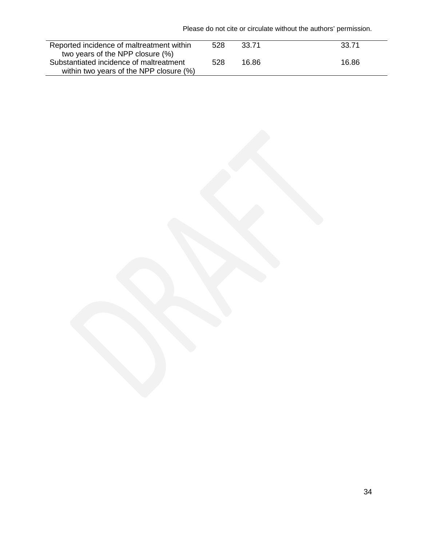Please do not cite or circulate without the authors' permission.

| Reported incidence of maltreatment within | 528 | 33.71 | 33.71 |
|-------------------------------------------|-----|-------|-------|
| two years of the NPP closure (%)          |     |       |       |
| Substantiated incidence of maltreatment   | 528 | 16.86 | 16.86 |
| within two years of the NPP closure (%)   |     |       |       |